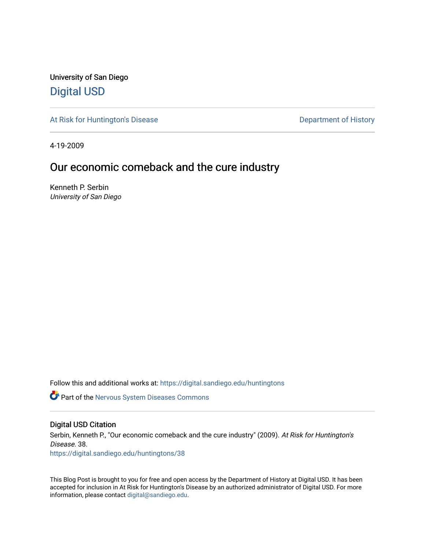University of San Diego [Digital USD](https://digital.sandiego.edu/)

[At Risk for Huntington's Disease](https://digital.sandiego.edu/huntingtons) **Department of History** Department of History

4-19-2009

# Our economic comeback and the cure industry

Kenneth P. Serbin University of San Diego

Follow this and additional works at: [https://digital.sandiego.edu/huntingtons](https://digital.sandiego.edu/huntingtons?utm_source=digital.sandiego.edu%2Fhuntingtons%2F38&utm_medium=PDF&utm_campaign=PDFCoverPages)

**C** Part of the [Nervous System Diseases Commons](http://network.bepress.com/hgg/discipline/928?utm_source=digital.sandiego.edu%2Fhuntingtons%2F38&utm_medium=PDF&utm_campaign=PDFCoverPages)

# Digital USD Citation

Serbin, Kenneth P., "Our economic comeback and the cure industry" (2009). At Risk for Huntington's Disease. 38. [https://digital.sandiego.edu/huntingtons/38](https://digital.sandiego.edu/huntingtons/38?utm_source=digital.sandiego.edu%2Fhuntingtons%2F38&utm_medium=PDF&utm_campaign=PDFCoverPages)

This Blog Post is brought to you for free and open access by the Department of History at Digital USD. It has been accepted for inclusion in At Risk for Huntington's Disease by an authorized administrator of Digital USD. For more information, please contact [digital@sandiego.edu.](mailto:digital@sandiego.edu)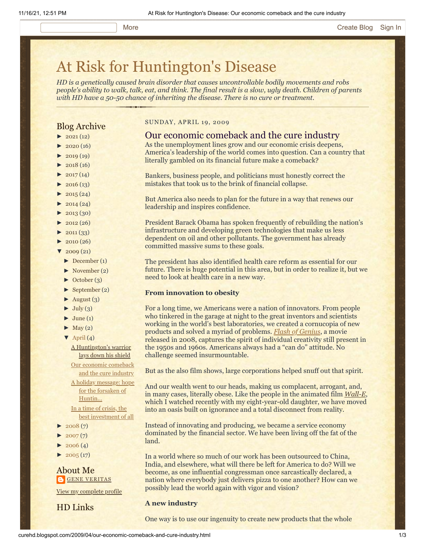# [At Risk for Huntington's Disease](http://curehd.blogspot.com/)

*HD is a genetically caused brain disorder that causes uncontrollable bodily movements and robs people's ability to walk, talk, eat, and think. The final result is a slow, ugly death. Children of parents with HD have a 50-50 chance of inheriting the disease. There is no cure or treatment.*

# Blog Archive

- $\blacktriangleright$  [2021](http://curehd.blogspot.com/2021/)(12)
- $-2020(16)$  $-2020(16)$  $-2020(16)$
- $\blacktriangleright$  [2019](http://curehd.blogspot.com/2019/) (19)
- $\blacktriangleright$  [2018](http://curehd.blogspot.com/2018/) (16)
- $\blacktriangleright$  [2017](http://curehd.blogspot.com/2017/)(14)
- $\blacktriangleright$  [2016](http://curehd.blogspot.com/2016/) (13)
- $\blacktriangleright$  [2015](http://curehd.blogspot.com/2015/) (24)
- $\blacktriangleright$  [2014](http://curehd.blogspot.com/2014/) (24)
- $\blacktriangleright$  [2013](http://curehd.blogspot.com/2013/) (30)
- $\blacktriangleright$  [2012](http://curehd.blogspot.com/2012/) (26)
- $\blacktriangleright$  [2011](http://curehd.blogspot.com/2011/) (33)
- $\blacktriangleright$  [2010](http://curehd.blogspot.com/2010/) (26)
- $'$  [2009](http://curehd.blogspot.com/2009/) $(21)$
- $\blacktriangleright$  [December](http://curehd.blogspot.com/2009/12/) (1)
- [►](javascript:void(0)) [November](http://curehd.blogspot.com/2009/11/) (2)
- [►](javascript:void(0)) [October](http://curehd.blogspot.com/2009/10/) (3)
- [►](javascript:void(0)) [September](http://curehd.blogspot.com/2009/09/) (2)
- $\blacktriangleright$  [August](http://curehd.blogspot.com/2009/08/) (3)
- $\blacktriangleright$  [July](http://curehd.blogspot.com/2009/07/) (3)
- $\blacktriangleright$  [June](http://curehd.blogspot.com/2009/06/) (1)
- $\blacktriangleright$  [May](http://curehd.blogspot.com/2009/05/) (2)
- $\nabla$  [April](http://curehd.blogspot.com/2009/04/) (4)

A [Huntington's](http://curehd.blogspot.com/2009/04/huntingtons-warrior-lays-down-his.html) warrior lays down his shield

Our economic [comeback](http://curehd.blogspot.com/2009/04/our-economic-comeback-and-cure-industry.html) and the cure industry A holiday [message:](http://curehd.blogspot.com/2009/04/holiday-message-hope-for-forsaken-of.html) hope for the forsaken of Huntin...

In a time of crisis, the best [investment](http://curehd.blogspot.com/2009/04/in-time-of-crisis-best-investment-of.html) of all

- $2008(7)$  $2008(7)$
- $\blacktriangleright$  [2007](http://curehd.blogspot.com/2007/) $(7)$
- $2006(4)$  $2006(4)$
- $\blacktriangleright$  [2005](http://curehd.blogspot.com/2005/) (17)

About Me **GENE [VERITAS](https://draft.blogger.com/profile/10911736205741688185)** 

View my [complete](https://draft.blogger.com/profile/10911736205741688185) profile

HD Links

### SUNDAY, APRIL 19, 2009

# Our economic comeback and the cure industry

- As the unemployment lines grow and our economic crisis deepens,
- America's leadership of the world comes into question. Can a country that literally gambled on its financial future make a comeback?
- Bankers, business people, and politicians must honestly correct the
- mistakes that took us to the brink of financial collapse.

But America also needs to plan for the future in a way that renews our leadership and inspires confidence.

President Barack Obama has spoken frequently of rebuilding the nation's infrastructure and developing green technologies that make us less dependent on oil and other pollutants. The government has already committed massive sums to these goals.

The president has also identified health care reform as essential for our future. There is huge potential in this area, but in order to realize it, but we need to look at health care in a new way.

## **From innovation to obesity**

For a long time, we Americans were a nation of innovators. From people who tinkered in the garage at night to the great inventors and scientists working in the world's best laboratories, we created a cornucopia of new products and solved a myriad of problems. *[Flash of Genius](http://www.imdb.com/title/tt1054588/)*, a movie released in 2008, captures the spirit of individual creativity still present in the 1950s and 1960s. Americans always had a "can do" attitude. No challenge seemed insurmountable.

But as the also film shows, large corporations helped snuff out that spirit.

And our wealth went to our heads, making us complacent, arrogant, and, in many cases, literally obese. Like the people in the animated film *[Wall-E](http://www.imdb.com/title/tt0910970/)*, which I watched recently with my eight-year-old daughter, we have moved into an oasis built on ignorance and a total disconnect from reality.

Instead of innovating and producing, we became a service economy dominated by the financial sector. We have been living off the fat of the land.

In a world where so much of our work has been outsourced to China, India, and elsewhere, what will there be left for America to do? Will we become, as one influential congressman once sarcastically declared, a nation where everybody just delivers pizza to one another? How can we possibly lead the world again with vigor and vision?

# **A new industry**

One way is to use our ingenuity to create new products that the whole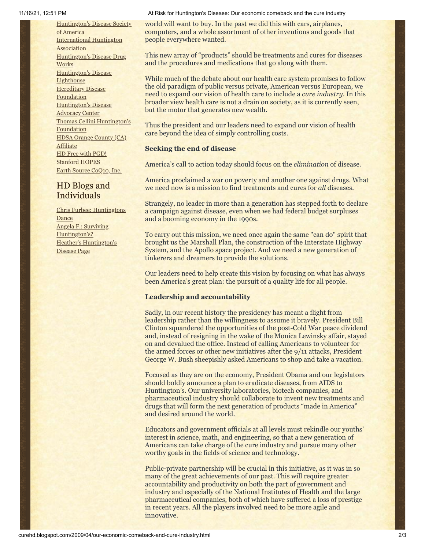[Huntington's](http://www.hdsa.org/) Disease Society of America [International](http://www.huntington-assoc.com/) Huntington **Association** [Huntington's](http://hddrugworks.org/) Disease Drug **Works** [Huntington's](http://www.hdlighthouse.org/) Disease **Lighthouse [Hereditary](http://www.hdfoundation.org/) Disease Foundation** [Huntington's](http://www.hdac.org/) Disease Advocacy Center Thomas [Cellini Huntington's](http://www.ourtchfoundation.org/) **Foundation** HDSA Orange County (CA) **[Affiliate](http://www.hdsaoc.org/)** HD Free with [PGD!](http://www.hdfreewithpgd.com/) [Stanford](http://www.stanford.edu/group/hopes/) HOPES Earth Source [CoQ10,](http://www.escoq10.com/) Inc.

# HD Blogs and Individuals

Chris Furbee: [Huntingtons](http://www.huntingtonsdance.org/) **Dance** Angela F.: Surviving [Huntington's?](http://survivinghuntingtons.blogspot.com/) Heather's [Huntington's](http://heatherdugdale.angelfire.com/) Disease Page

11/16/21, 12:51 PM At Risk for Huntington's Disease: Our economic comeback and the cure industry

world will want to buy. In the past we did this with cars, airplanes, computers, and a whole assortment of other inventions and goods that people everywhere wanted.

This new array of "products" should be treatments and cures for diseases and the procedures and medications that go along with them.

While much of the debate about our health care system promises to follow the old paradigm of public versus private, American versus European, we need to expand our vision of health care to include a *cure industry*. In this broader view health care is not a drain on society, as it is currently seen, but the motor that generates new wealth.

Thus the president and our leaders need to expand our vision of health care beyond the idea of simply controlling costs.

# **Seeking the end of disease**

America's call to action today should focus on the *elimination* of disease.

America proclaimed a war on poverty and another one against drugs. What we need now is a mission to find treatments and cures for *all* diseases.

Strangely, no leader in more than a generation has stepped forth to declare a campaign against disease, even when we had federal budget surpluses and a booming economy in the 1990s.

To carry out this mission, we need once again the same "can do" spirit that brought us the Marshall Plan, the construction of the Interstate Highway System, and the Apollo space project. And we need a new generation of tinkerers and dreamers to provide the solutions.

Our leaders need to help create this vision by focusing on what has always been America's great plan: the pursuit of a quality life for all people.

# **Leadership and accountability**

Sadly, in our recent history the presidency has meant a flight from leadership rather than the willingness to assume it bravely. President Bill Clinton squandered the opportunities of the post-Cold War peace dividend and, instead of resigning in the wake of the Monica Lewinsky affair, stayed on and devalued the office. Instead of calling Americans to volunteer for the armed forces or other new initiatives after the 9/11 attacks, President George W. Bush sheepishly asked Americans to shop and take a vacation.

Focused as they are on the economy, President Obama and our legislators should boldly announce a plan to eradicate diseases, from AIDS to Huntington's. Our university laboratories, biotech companies, and pharmaceutical industry should collaborate to invent new treatments and drugs that will form the next generation of products "made in America" and desired around the world.

Educators and government officials at all levels must rekindle our youths' interest in science, math, and engineering, so that a new generation of Americans can take charge of the cure industry and pursue many other worthy goals in the fields of science and technology.

Public-private partnership will be crucial in this initiative, as it was in so many of the great achievements of our past. This will require greater accountability and productivity on both the part of government and industry and especially of the National Institutes of Health and the large pharmaceutical companies, both of which have suffered a loss of prestige in recent years. All the players involved need to be more agile and innovative.